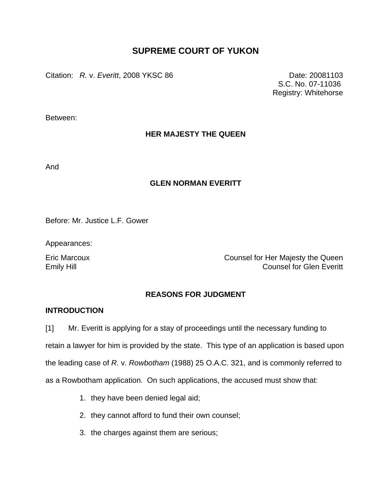# **SUPREME COURT OF YUKON**

Citation: *R.* v. *Everitt*, 2008 YKSC 86 Date: 20081103

 S.C. No. 07-11036 Registry: Whitehorse

Between:

# **HER MAJESTY THE QUEEN**

And

## **GLEN NORMAN EVERITT**

Before: Mr. Justice L.F. Gower

Appearances:

Eric Marcoux Counsel for Her Majesty the Queen Emily Hill **Emily Hill** Counsel for Glen Everitt

# **REASONS FOR JUDGMENT**

## **INTRODUCTION**

[1] Mr. Everitt is applying for a stay of proceedings until the necessary funding to retain a lawyer for him is provided by the state. This type of an application is based upon the leading case of *R.* v. *Rowbotham* (1988) 25 O.A.C. 321, and is commonly referred to as a Rowbotham application. On such applications, the accused must show that:

- 1. they have been denied legal aid;
- 2. they cannot afford to fund their own counsel;
- 3. the charges against them are serious;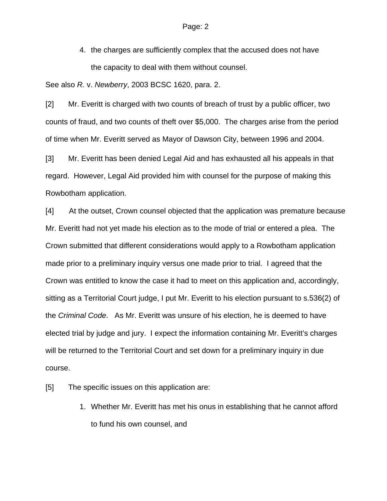4. the charges are sufficiently complex that the accused does not have the capacity to deal with them without counsel.

See also *R.* v. *Newberry*, 2003 BCSC 1620, para. 2.

[2] Mr. Everitt is charged with two counts of breach of trust by a public officer, two counts of fraud, and two counts of theft over \$5,000. The charges arise from the period of time when Mr. Everitt served as Mayor of Dawson City, between 1996 and 2004.

[3] Mr. Everitt has been denied Legal Aid and has exhausted all his appeals in that regard. However, Legal Aid provided him with counsel for the purpose of making this Rowbotham application.

[4] At the outset, Crown counsel objected that the application was premature because Mr. Everitt had not yet made his election as to the mode of trial or entered a plea. The Crown submitted that different considerations would apply to a Rowbotham application made prior to a preliminary inquiry versus one made prior to trial. I agreed that the Crown was entitled to know the case it had to meet on this application and, accordingly, sitting as a Territorial Court judge, I put Mr. Everitt to his election pursuant to s.536(2) of the *Criminal Code*. As Mr. Everitt was unsure of his election, he is deemed to have elected trial by judge and jury. I expect the information containing Mr. Everitt's charges will be returned to the Territorial Court and set down for a preliminary inquiry in due course.

[5] The specific issues on this application are:

1. Whether Mr. Everitt has met his onus in establishing that he cannot afford to fund his own counsel, and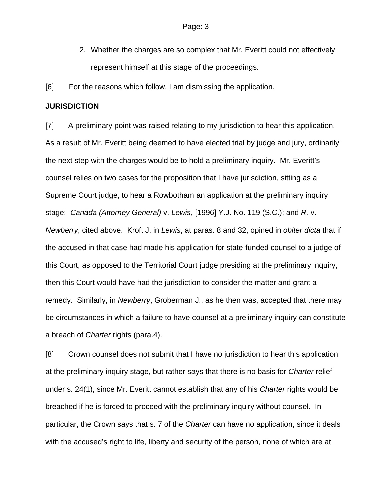2. Whether the charges are so complex that Mr. Everitt could not effectively represent himself at this stage of the proceedings.

[6] For the reasons which follow, I am dismissing the application.

### **JURISDICTION**

[7] A preliminary point was raised relating to my jurisdiction to hear this application. As a result of Mr. Everitt being deemed to have elected trial by judge and jury, ordinarily the next step with the charges would be to hold a preliminary inquiry. Mr. Everitt's counsel relies on two cases for the proposition that I have jurisdiction, sitting as a Supreme Court judge, to hear a Rowbotham an application at the preliminary inquiry stage: *Canada (Attorney General)* v. *Lewis*, [1996] Y.J. No. 119 (S.C.); and *R.* v. *Newberry*, cited above. Kroft J. in *Lewis*, at paras. 8 and 32, opined in *obiter dicta* that if the accused in that case had made his application for state-funded counsel to a judge of this Court, as opposed to the Territorial Court judge presiding at the preliminary inquiry, then this Court would have had the jurisdiction to consider the matter and grant a remedy. Similarly, in *Newberry*, Groberman J., as he then was, accepted that there may be circumstances in which a failure to have counsel at a preliminary inquiry can constitute a breach of *Charter* rights (para.4).

[8] Crown counsel does not submit that I have no jurisdiction to hear this application at the preliminary inquiry stage, but rather says that there is no basis for *Charter* relief under s. 24(1), since Mr. Everitt cannot establish that any of his *Charter* rights would be breached if he is forced to proceed with the preliminary inquiry without counsel. In particular, the Crown says that s. 7 of the *Charter* can have no application, since it deals with the accused's right to life, liberty and security of the person, none of which are at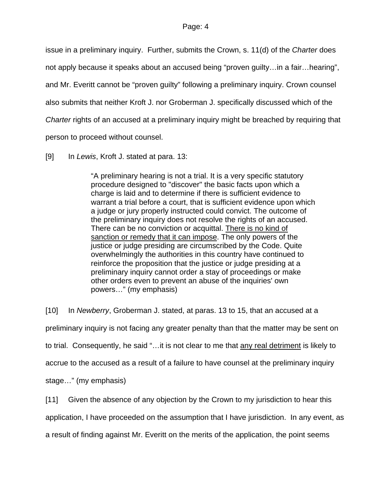issue in a preliminary inquiry. Further, submits the Crown, s. 11(d) of the *Charter* does not apply because it speaks about an accused being "proven guilty…in a fair…hearing", and Mr. Everitt cannot be "proven guilty" following a preliminary inquiry. Crown counsel also submits that neither Kroft J. nor Groberman J. specifically discussed which of the *Charter* rights of an accused at a preliminary inquiry might be breached by requiring that person to proceed without counsel.

[9] In *Lewis*, Kroft J. stated at para. 13:

"A preliminary hearing is not a trial. It is a very specific statutory procedure designed to "discover" the basic facts upon which a charge is laid and to determine if there is sufficient evidence to warrant a trial before a court, that is sufficient evidence upon which a judge or jury properly instructed could convict. The outcome of the preliminary inquiry does not resolve the rights of an accused. There can be no conviction or acquittal. There is no kind of sanction or remedy that it can impose. The only powers of the justice or judge presiding are circumscribed by the Code. Quite overwhelmingly the authorities in this country have continued to reinforce the proposition that the justice or judge presiding at a preliminary inquiry cannot order a stay of proceedings or make other orders even to prevent an abuse of the inquiries' own powers…" (my emphasis)

[10] In *Newberry*, Groberman J. stated, at paras. 13 to 15, that an accused at a preliminary inquiry is not facing any greater penalty than that the matter may be sent on to trial. Consequently, he said "…it is not clear to me that any real detriment is likely to accrue to the accused as a result of a failure to have counsel at the preliminary inquiry stage…" (my emphasis)

[11] Given the absence of any objection by the Crown to my jurisdiction to hear this application, I have proceeded on the assumption that I have jurisdiction. In any event, as a result of finding against Mr. Everitt on the merits of the application, the point seems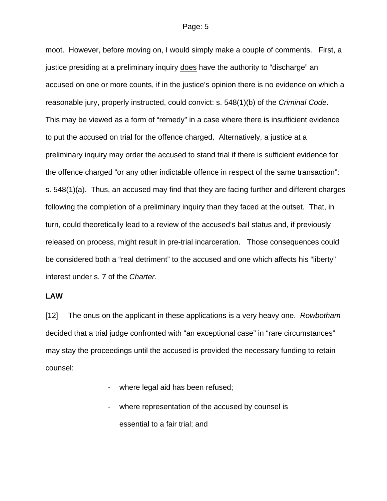moot. However, before moving on, I would simply make a couple of comments. First, a justice presiding at a preliminary inquiry does have the authority to "discharge" an accused on one or more counts, if in the justice's opinion there is no evidence on which a reasonable jury, properly instructed, could convict: s. 548(1)(b) of the *Criminal Code*. This may be viewed as a form of "remedy" in a case where there is insufficient evidence to put the accused on trial for the offence charged. Alternatively, a justice at a preliminary inquiry may order the accused to stand trial if there is sufficient evidence for the offence charged "or any other indictable offence in respect of the same transaction": s. 548(1)(a). Thus, an accused may find that they are facing further and different charges following the completion of a preliminary inquiry than they faced at the outset. That, in turn, could theoretically lead to a review of the accused's bail status and, if previously released on process, might result in pre-trial incarceration. Those consequences could be considered both a "real detriment" to the accused and one which affects his "liberty" interest under s. 7 of the *Charter*.

## **LAW**

[12] The onus on the applicant in these applications is a very heavy one. *Rowbotham* decided that a trial judge confronted with "an exceptional case" in "rare circumstances" may stay the proceedings until the accused is provided the necessary funding to retain counsel:

- where legal aid has been refused;
- where representation of the accused by counsel is essential to a fair trial; and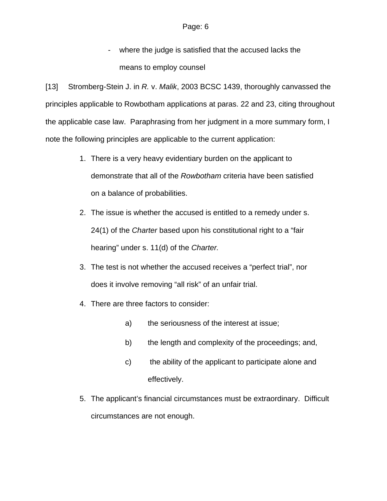- where the judge is satisfied that the accused lacks the means to employ counsel

[13] Stromberg-Stein J. in *R.* v. *Malik*, 2003 BCSC 1439, thoroughly canvassed the principles applicable to Rowbotham applications at paras. 22 and 23, citing throughout the applicable case law. Paraphrasing from her judgment in a more summary form, I note the following principles are applicable to the current application:

- 1. There is a very heavy evidentiary burden on the applicant to demonstrate that all of the *Rowbotham* criteria have been satisfied on a balance of probabilities.
- 2. The issue is whether the accused is entitled to a remedy under s. 24(1) of the *Charter* based upon his constitutional right to a "fair hearing" under s. 11(d) of the *Charter.*
- 3. The test is not whether the accused receives a "perfect trial", nor does it involve removing "all risk" of an unfair trial.
- 4. There are three factors to consider:
	- a) the seriousness of the interest at issue;
	- b) the length and complexity of the proceedings; and,
	- c) the ability of the applicant to participate alone and effectively.
- 5. The applicant's financial circumstances must be extraordinary. Difficult circumstances are not enough.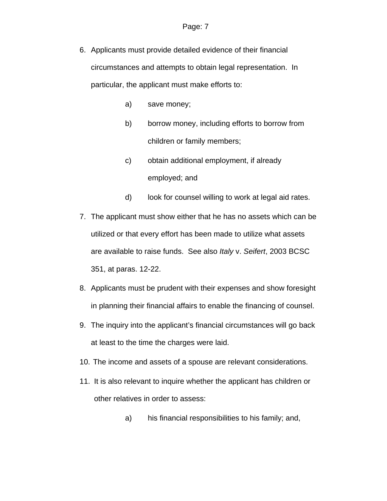- 6. Applicants must provide detailed evidence of their financial circumstances and attempts to obtain legal representation. In particular, the applicant must make efforts to:
	- a) save money;
	- b) borrow money, including efforts to borrow from children or family members;
	- c) obtain additional employment, if already employed; and
	- d) look for counsel willing to work at legal aid rates.
- 7. The applicant must show either that he has no assets which can be utilized or that every effort has been made to utilize what assets are available to raise funds. See also *Italy* v. *Seifert*, 2003 BCSC 351, at paras. 12-22.
- 8. Applicants must be prudent with their expenses and show foresight in planning their financial affairs to enable the financing of counsel.
- 9. The inquiry into the applicant's financial circumstances will go back at least to the time the charges were laid.
- 10. The income and assets of a spouse are relevant considerations.
- 11. It is also relevant to inquire whether the applicant has children or other relatives in order to assess:
	- a) his financial responsibilities to his family; and,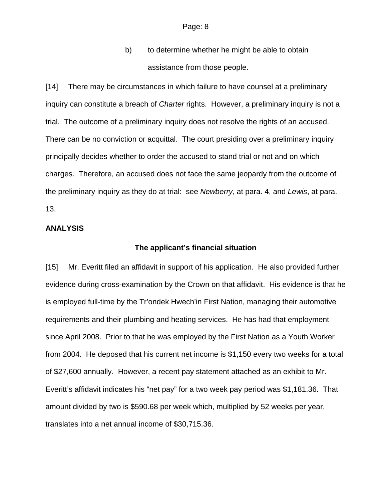b) to determine whether he might be able to obtain assistance from those people.

[14] There may be circumstances in which failure to have counsel at a preliminary inquiry can constitute a breach of *Charter* rights. However, a preliminary inquiry is not a trial. The outcome of a preliminary inquiry does not resolve the rights of an accused. There can be no conviction or acquittal. The court presiding over a preliminary inquiry principally decides whether to order the accused to stand trial or not and on which charges. Therefore, an accused does not face the same jeopardy from the outcome of the preliminary inquiry as they do at trial: see *Newberry*, at para. 4, and *Lewis*, at para. 13.

### **ANALYSIS**

### **The applicant's financial situation**

[15] Mr. Everitt filed an affidavit in support of his application. He also provided further evidence during cross-examination by the Crown on that affidavit. His evidence is that he is employed full-time by the Tr'ondek Hwech'in First Nation, managing their automotive requirements and their plumbing and heating services. He has had that employment since April 2008. Prior to that he was employed by the First Nation as a Youth Worker from 2004. He deposed that his current net income is \$1,150 every two weeks for a total of \$27,600 annually. However, a recent pay statement attached as an exhibit to Mr. Everitt's affidavit indicates his "net pay" for a two week pay period was \$1,181.36. That amount divided by two is \$590.68 per week which, multiplied by 52 weeks per year, translates into a net annual income of \$30,715.36.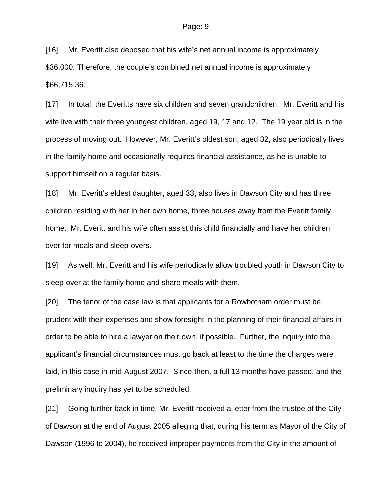[16] Mr. Everitt also deposed that his wife's net annual income is approximately \$36,000. Therefore, the couple's combined net annual income is approximately \$66,715.36.

[17] In total, the Everitts have six children and seven grandchildren. Mr. Everitt and his wife live with their three youngest children, aged 19, 17 and 12. The 19 year old is in the process of moving out. However, Mr. Everitt's oldest son, aged 32, also periodically lives in the family home and occasionally requires financial assistance, as he is unable to support himself on a regular basis.

[18] Mr. Everitt's eldest daughter, aged 33, also lives in Dawson City and has three children residing with her in her own home, three houses away from the Everitt family home. Mr. Everitt and his wife often assist this child financially and have her children over for meals and sleep-overs.

[19] As well, Mr. Everitt and his wife periodically allow troubled youth in Dawson City to sleep-over at the family home and share meals with them.

[20] The tenor of the case law is that applicants for a Rowbotham order must be prudent with their expenses and show foresight in the planning of their financial affairs in order to be able to hire a lawyer on their own, if possible. Further, the inquiry into the applicant's financial circumstances must go back at least to the time the charges were laid, in this case in mid-August 2007. Since then, a full 13 months have passed, and the preliminary inquiry has yet to be scheduled.

[21] Going further back in time, Mr. Everitt received a letter from the trustee of the City of Dawson at the end of August 2005 alleging that, during his term as Mayor of the City of Dawson (1996 to 2004), he received improper payments from the City in the amount of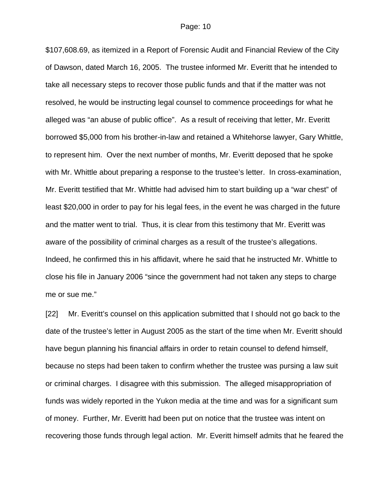\$107,608.69, as itemized in a Report of Forensic Audit and Financial Review of the City of Dawson, dated March 16, 2005. The trustee informed Mr. Everitt that he intended to take all necessary steps to recover those public funds and that if the matter was not resolved, he would be instructing legal counsel to commence proceedings for what he alleged was "an abuse of public office". As a result of receiving that letter, Mr. Everitt borrowed \$5,000 from his brother-in-law and retained a Whitehorse lawyer, Gary Whittle, to represent him. Over the next number of months, Mr. Everitt deposed that he spoke with Mr. Whittle about preparing a response to the trustee's letter. In cross-examination, Mr. Everitt testified that Mr. Whittle had advised him to start building up a "war chest" of least \$20,000 in order to pay for his legal fees, in the event he was charged in the future and the matter went to trial. Thus, it is clear from this testimony that Mr. Everitt was aware of the possibility of criminal charges as a result of the trustee's allegations. Indeed, he confirmed this in his affidavit, where he said that he instructed Mr. Whittle to close his file in January 2006 "since the government had not taken any steps to charge me or sue me."

[22] Mr. Everitt's counsel on this application submitted that I should not go back to the date of the trustee's letter in August 2005 as the start of the time when Mr. Everitt should have begun planning his financial affairs in order to retain counsel to defend himself, because no steps had been taken to confirm whether the trustee was pursing a law suit or criminal charges. I disagree with this submission. The alleged misappropriation of funds was widely reported in the Yukon media at the time and was for a significant sum of money. Further, Mr. Everitt had been put on notice that the trustee was intent on recovering those funds through legal action. Mr. Everitt himself admits that he feared the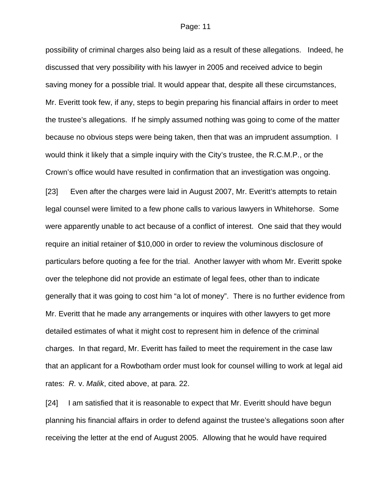possibility of criminal charges also being laid as a result of these allegations. Indeed, he discussed that very possibility with his lawyer in 2005 and received advice to begin saving money for a possible trial. It would appear that, despite all these circumstances, Mr. Everitt took few, if any, steps to begin preparing his financial affairs in order to meet the trustee's allegations. If he simply assumed nothing was going to come of the matter because no obvious steps were being taken, then that was an imprudent assumption. I would think it likely that a simple inquiry with the City's trustee, the R.C.M.P., or the Crown's office would have resulted in confirmation that an investigation was ongoing.

[23] Even after the charges were laid in August 2007, Mr. Everitt's attempts to retain legal counsel were limited to a few phone calls to various lawyers in Whitehorse. Some were apparently unable to act because of a conflict of interest. One said that they would require an initial retainer of \$10,000 in order to review the voluminous disclosure of particulars before quoting a fee for the trial. Another lawyer with whom Mr. Everitt spoke over the telephone did not provide an estimate of legal fees, other than to indicate generally that it was going to cost him "a lot of money". There is no further evidence from Mr. Everitt that he made any arrangements or inquires with other lawyers to get more detailed estimates of what it might cost to represent him in defence of the criminal charges. In that regard, Mr. Everitt has failed to meet the requirement in the case law that an applicant for a Rowbotham order must look for counsel willing to work at legal aid rates: *R.* v. *Malik*, cited above, at para. 22.

[24] I am satisfied that it is reasonable to expect that Mr. Everitt should have begun planning his financial affairs in order to defend against the trustee's allegations soon after receiving the letter at the end of August 2005. Allowing that he would have required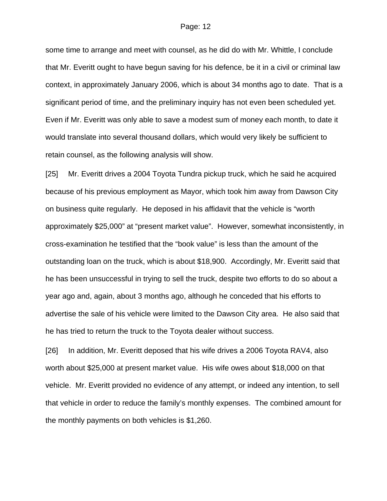some time to arrange and meet with counsel, as he did do with Mr. Whittle, I conclude that Mr. Everitt ought to have begun saving for his defence, be it in a civil or criminal law context, in approximately January 2006, which is about 34 months ago to date. That is a significant period of time, and the preliminary inquiry has not even been scheduled yet. Even if Mr. Everitt was only able to save a modest sum of money each month, to date it would translate into several thousand dollars, which would very likely be sufficient to retain counsel, as the following analysis will show.

[25] Mr. Everitt drives a 2004 Toyota Tundra pickup truck, which he said he acquired because of his previous employment as Mayor, which took him away from Dawson City on business quite regularly. He deposed in his affidavit that the vehicle is "worth approximately \$25,000" at "present market value". However, somewhat inconsistently, in cross-examination he testified that the "book value" is less than the amount of the outstanding loan on the truck, which is about \$18,900. Accordingly, Mr. Everitt said that he has been unsuccessful in trying to sell the truck, despite two efforts to do so about a year ago and, again, about 3 months ago, although he conceded that his efforts to advertise the sale of his vehicle were limited to the Dawson City area. He also said that he has tried to return the truck to the Toyota dealer without success.

[26] In addition, Mr. Everitt deposed that his wife drives a 2006 Toyota RAV4, also worth about \$25,000 at present market value. His wife owes about \$18,000 on that vehicle. Mr. Everitt provided no evidence of any attempt, or indeed any intention, to sell that vehicle in order to reduce the family's monthly expenses. The combined amount for the monthly payments on both vehicles is \$1,260.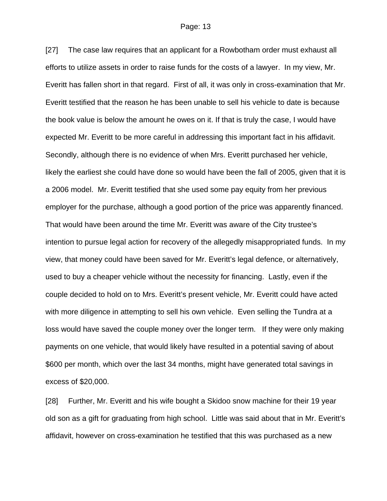[27] The case law requires that an applicant for a Rowbotham order must exhaust all efforts to utilize assets in order to raise funds for the costs of a lawyer. In my view, Mr. Everitt has fallen short in that regard. First of all, it was only in cross-examination that Mr. Everitt testified that the reason he has been unable to sell his vehicle to date is because the book value is below the amount he owes on it. If that is truly the case, I would have expected Mr. Everitt to be more careful in addressing this important fact in his affidavit. Secondly, although there is no evidence of when Mrs. Everitt purchased her vehicle, likely the earliest she could have done so would have been the fall of 2005, given that it is a 2006 model. Mr. Everitt testified that she used some pay equity from her previous employer for the purchase, although a good portion of the price was apparently financed. That would have been around the time Mr. Everitt was aware of the City trustee's intention to pursue legal action for recovery of the allegedly misappropriated funds. In my view, that money could have been saved for Mr. Everitt's legal defence, or alternatively, used to buy a cheaper vehicle without the necessity for financing. Lastly, even if the couple decided to hold on to Mrs. Everitt's present vehicle, Mr. Everitt could have acted with more diligence in attempting to sell his own vehicle. Even selling the Tundra at a loss would have saved the couple money over the longer term. If they were only making payments on one vehicle, that would likely have resulted in a potential saving of about \$600 per month, which over the last 34 months, might have generated total savings in excess of \$20,000.

[28] Further, Mr. Everitt and his wife bought a Skidoo snow machine for their 19 year old son as a gift for graduating from high school. Little was said about that in Mr. Everitt's affidavit, however on cross-examination he testified that this was purchased as a new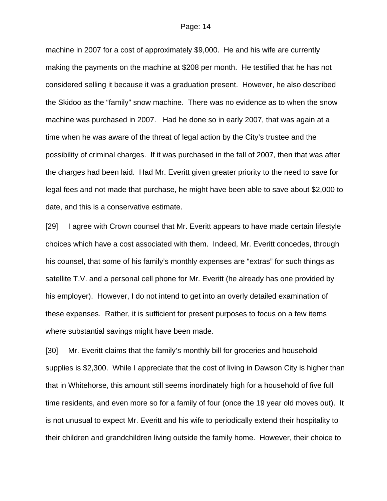machine in 2007 for a cost of approximately \$9,000. He and his wife are currently making the payments on the machine at \$208 per month. He testified that he has not considered selling it because it was a graduation present. However, he also described the Skidoo as the "family" snow machine. There was no evidence as to when the snow machine was purchased in 2007. Had he done so in early 2007, that was again at a time when he was aware of the threat of legal action by the City's trustee and the possibility of criminal charges. If it was purchased in the fall of 2007, then that was after the charges had been laid. Had Mr. Everitt given greater priority to the need to save for legal fees and not made that purchase, he might have been able to save about \$2,000 to date, and this is a conservative estimate.

[29] I agree with Crown counsel that Mr. Everitt appears to have made certain lifestyle choices which have a cost associated with them. Indeed, Mr. Everitt concedes, through his counsel, that some of his family's monthly expenses are "extras" for such things as satellite T.V. and a personal cell phone for Mr. Everitt (he already has one provided by his employer). However, I do not intend to get into an overly detailed examination of these expenses. Rather, it is sufficient for present purposes to focus on a few items where substantial savings might have been made.

[30] Mr. Everitt claims that the family's monthly bill for groceries and household supplies is \$2,300. While I appreciate that the cost of living in Dawson City is higher than that in Whitehorse, this amount still seems inordinately high for a household of five full time residents, and even more so for a family of four (once the 19 year old moves out). It is not unusual to expect Mr. Everitt and his wife to periodically extend their hospitality to their children and grandchildren living outside the family home. However, their choice to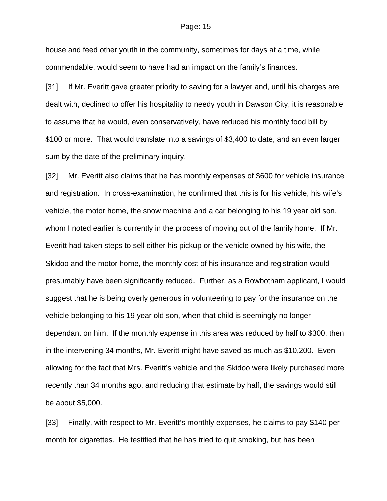house and feed other youth in the community, sometimes for days at a time, while commendable, would seem to have had an impact on the family's finances.

[31] If Mr. Everitt gave greater priority to saving for a lawyer and, until his charges are dealt with, declined to offer his hospitality to needy youth in Dawson City, it is reasonable to assume that he would, even conservatively, have reduced his monthly food bill by \$100 or more. That would translate into a savings of \$3,400 to date, and an even larger sum by the date of the preliminary inquiry.

[32] Mr. Everitt also claims that he has monthly expenses of \$600 for vehicle insurance and registration. In cross-examination, he confirmed that this is for his vehicle, his wife's vehicle, the motor home, the snow machine and a car belonging to his 19 year old son, whom I noted earlier is currently in the process of moving out of the family home. If Mr. Everitt had taken steps to sell either his pickup or the vehicle owned by his wife, the Skidoo and the motor home, the monthly cost of his insurance and registration would presumably have been significantly reduced. Further, as a Rowbotham applicant, I would suggest that he is being overly generous in volunteering to pay for the insurance on the vehicle belonging to his 19 year old son, when that child is seemingly no longer dependant on him. If the monthly expense in this area was reduced by half to \$300, then in the intervening 34 months, Mr. Everitt might have saved as much as \$10,200. Even allowing for the fact that Mrs. Everitt's vehicle and the Skidoo were likely purchased more recently than 34 months ago, and reducing that estimate by half, the savings would still be about \$5,000.

[33] Finally, with respect to Mr. Everitt's monthly expenses, he claims to pay \$140 per month for cigarettes. He testified that he has tried to quit smoking, but has been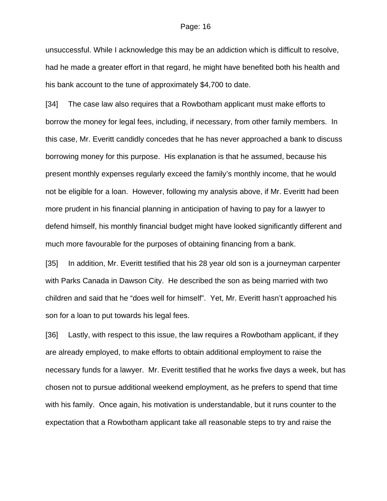unsuccessful. While I acknowledge this may be an addiction which is difficult to resolve, had he made a greater effort in that regard, he might have benefited both his health and his bank account to the tune of approximately \$4,700 to date.

[34] The case law also requires that a Rowbotham applicant must make efforts to borrow the money for legal fees, including, if necessary, from other family members. In this case, Mr. Everitt candidly concedes that he has never approached a bank to discuss borrowing money for this purpose. His explanation is that he assumed, because his present monthly expenses regularly exceed the family's monthly income, that he would not be eligible for a loan. However, following my analysis above, if Mr. Everitt had been more prudent in his financial planning in anticipation of having to pay for a lawyer to defend himself, his monthly financial budget might have looked significantly different and much more favourable for the purposes of obtaining financing from a bank.

[35] In addition, Mr. Everitt testified that his 28 year old son is a journeyman carpenter with Parks Canada in Dawson City. He described the son as being married with two children and said that he "does well for himself". Yet, Mr. Everitt hasn't approached his son for a loan to put towards his legal fees.

[36] Lastly, with respect to this issue, the law requires a Rowbotham applicant, if they are already employed, to make efforts to obtain additional employment to raise the necessary funds for a lawyer. Mr. Everitt testified that he works five days a week, but has chosen not to pursue additional weekend employment, as he prefers to spend that time with his family. Once again, his motivation is understandable, but it runs counter to the expectation that a Rowbotham applicant take all reasonable steps to try and raise the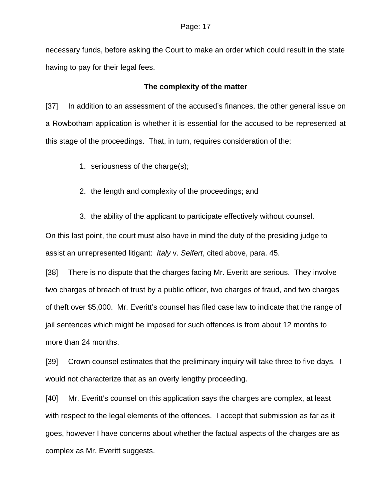necessary funds, before asking the Court to make an order which could result in the state having to pay for their legal fees.

## **The complexity of the matter**

[37] In addition to an assessment of the accused's finances, the other general issue on a Rowbotham application is whether it is essential for the accused to be represented at this stage of the proceedings. That, in turn, requires consideration of the:

1. seriousness of the charge(s);

2. the length and complexity of the proceedings; and

3. the ability of the applicant to participate effectively without counsel.

On this last point, the court must also have in mind the duty of the presiding judge to assist an unrepresented litigant: *Italy* v. *Seifert*, cited above, para. 45.

[38] There is no dispute that the charges facing Mr. Everitt are serious. They involve two charges of breach of trust by a public officer, two charges of fraud, and two charges of theft over \$5,000. Mr. Everitt's counsel has filed case law to indicate that the range of jail sentences which might be imposed for such offences is from about 12 months to more than 24 months.

[39] Crown counsel estimates that the preliminary inquiry will take three to five days. I would not characterize that as an overly lengthy proceeding.

[40] Mr. Everitt's counsel on this application says the charges are complex, at least with respect to the legal elements of the offences. I accept that submission as far as it goes, however I have concerns about whether the factual aspects of the charges are as complex as Mr. Everitt suggests.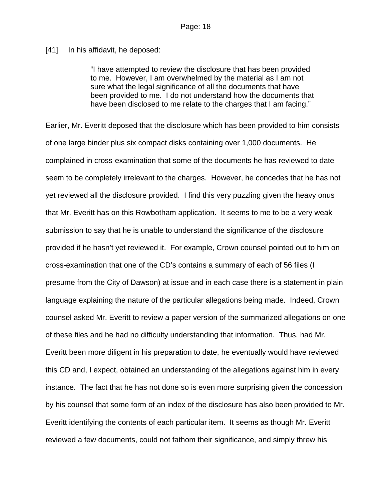[41] In his affidavit, he deposed:

"I have attempted to review the disclosure that has been provided to me. However, I am overwhelmed by the material as I am not sure what the legal significance of all the documents that have been provided to me. I do not understand how the documents that have been disclosed to me relate to the charges that I am facing."

Earlier, Mr. Everitt deposed that the disclosure which has been provided to him consists of one large binder plus six compact disks containing over 1,000 documents. He complained in cross-examination that some of the documents he has reviewed to date seem to be completely irrelevant to the charges. However, he concedes that he has not yet reviewed all the disclosure provided. I find this very puzzling given the heavy onus that Mr. Everitt has on this Rowbotham application. It seems to me to be a very weak submission to say that he is unable to understand the significance of the disclosure provided if he hasn't yet reviewed it. For example, Crown counsel pointed out to him on cross-examination that one of the CD's contains a summary of each of 56 files (I presume from the City of Dawson) at issue and in each case there is a statement in plain language explaining the nature of the particular allegations being made. Indeed, Crown counsel asked Mr. Everitt to review a paper version of the summarized allegations on one of these files and he had no difficulty understanding that information. Thus, had Mr. Everitt been more diligent in his preparation to date, he eventually would have reviewed this CD and, I expect, obtained an understanding of the allegations against him in every instance. The fact that he has not done so is even more surprising given the concession by his counsel that some form of an index of the disclosure has also been provided to Mr. Everitt identifying the contents of each particular item. It seems as though Mr. Everitt reviewed a few documents, could not fathom their significance, and simply threw his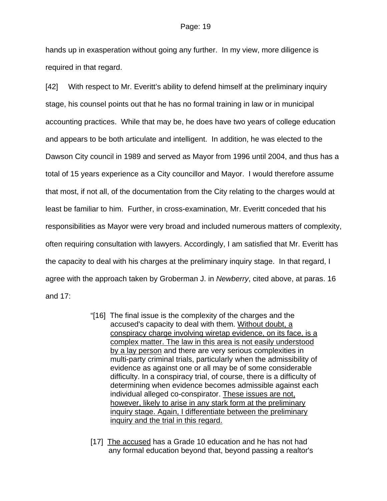hands up in exasperation without going any further. In my view, more diligence is required in that regard.

[42] With respect to Mr. Everitt's ability to defend himself at the preliminary inquiry stage, his counsel points out that he has no formal training in law or in municipal accounting practices. While that may be, he does have two years of college education and appears to be both articulate and intelligent. In addition, he was elected to the Dawson City council in 1989 and served as Mayor from 1996 until 2004, and thus has a total of 15 years experience as a City councillor and Mayor. I would therefore assume that most, if not all, of the documentation from the City relating to the charges would at least be familiar to him. Further, in cross-examination, Mr. Everitt conceded that his responsibilities as Mayor were very broad and included numerous matters of complexity, often requiring consultation with lawyers. Accordingly, I am satisfied that Mr. Everitt has the capacity to deal with his charges at the preliminary inquiry stage. In that regard, I agree with the approach taken by Groberman J. in *Newberry*, cited above, at paras. 16 and 17:

- "[16] The final issue is the complexity of the charges and the accused's capacity to deal with them. Without doubt, a conspiracy charge involving wiretap evidence, on its face, is a complex matter. The law in this area is not easily understood by a lay person and there are very serious complexities in multi-party criminal trials, particularly when the admissibility of evidence as against one or all may be of some considerable difficulty. In a conspiracy trial, of course, there is a difficulty of determining when evidence becomes admissible against each individual alleged co-conspirator. These issues are not, however, likely to arise in any stark form at the preliminary inquiry stage. Again, I differentiate between the preliminary inquiry and the trial in this regard.
- [17] The accused has a Grade 10 education and he has not had any formal education beyond that, beyond passing a realtor's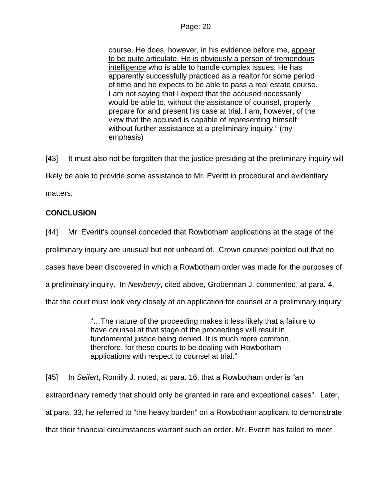course. He does, however, in his evidence before me, appear to be quite articulate. He is obviously a person of tremendous intelligence who is able to handle complex issues. He has apparently successfully practiced as a realtor for some period of time and he expects to be able to pass a real estate course. I am not saying that I expect that the accused necessarily would be able to, without the assistance of counsel, properly prepare for and present his case at trial. I am, however, of the view that the accused is capable of representing himself without further assistance at a preliminary inquiry." (my emphasis)

[43] It must also not be forgotten that the justice presiding at the preliminary inquiry will likely be able to provide some assistance to Mr. Everitt in procedural and evidentiary matters.

# **CONCLUSION**

[44] Mr. Everitt's counsel conceded that Rowbotham applications at the stage of the preliminary inquiry are unusual but not unheard of. Crown counsel pointed out that no cases have been discovered in which a Rowbotham order was made for the purposes of a preliminary inquiry. In *Newberry*, cited above, Groberman J. commented, at para. 4, that the court must look very closely at an application for counsel at a preliminary inquiry:

> "…The nature of the proceeding makes it less likely that a failure to have counsel at that stage of the proceedings will result in fundamental justice being denied. It is much more common, therefore, for these courts to be dealing with Rowbotham applications with respect to counsel at trial."

[45] In *Seifert*, Romilly J. noted, at para. 16, that a Rowbotham order is "an extraordinary remedy that should only be granted in rare and exceptional cases". Later, at para. 33, he referred to "the heavy burden" on a Rowbotham applicant to demonstrate that their financial circumstances warrant such an order. Mr. Everitt has failed to meet